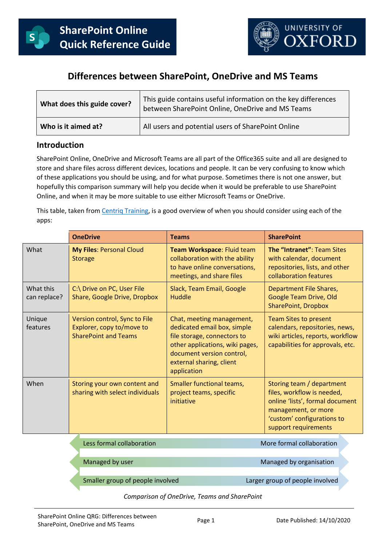



# **Differences between SharePoint, OneDrive and MS Teams**

| What does this guide cover? | This guide contains useful information on the key differences<br>between SharePoint Online, OneDrive and MS Teams |  |
|-----------------------------|-------------------------------------------------------------------------------------------------------------------|--|
| Who is it aimed at?         | All users and potential users of SharePoint Online                                                                |  |

#### **Introduction**

SharePoint Online, OneDrive and Microsoft Teams are all part of the Office365 suite and all are designed to store and share files across different devices, locations and people. It can be very confusing to know which of these applications you should be using, and for what purpose. Sometimes there is not one answer, but hopefully this comparison summary will help you decide when it would be preferable to use SharePoint Online, and when it may be more suitable to use either Microsoft Teams or OneDrive.

This table, taken from [Centriq Training,](https://www.centriq.com/wp-content/uploads/2018/12/What-to-use-when-Office365.pdf) is a good overview of when you should consider using each of the apps:

|                           | <b>OneDrive</b>                                                                           | <b>Teams</b>                                                                                                                                                                                       | <b>SharePoint</b>                                                                                                                                                       |  |
|---------------------------|-------------------------------------------------------------------------------------------|----------------------------------------------------------------------------------------------------------------------------------------------------------------------------------------------------|-------------------------------------------------------------------------------------------------------------------------------------------------------------------------|--|
| What                      | <b>My Files: Personal Cloud</b><br><b>Storage</b>                                         | Team Workspace: Fluid team<br>collaboration with the ability<br>to have online conversations,<br>meetings, and share files                                                                         | The "Intranet": Team Sites<br>with calendar, document<br>repositories, lists, and other<br>collaboration features                                                       |  |
| What this<br>can replace? | C:\ Drive on PC, User File<br>Share, Google Drive, Dropbox                                | Slack, Team Email, Google<br><b>Huddle</b>                                                                                                                                                         | Department File Shares,<br>Google Team Drive, Old<br><b>SharePoint, Dropbox</b>                                                                                         |  |
| Unique<br>features        | Version control, Sync to File<br>Explorer, copy to/move to<br><b>SharePoint and Teams</b> | Chat, meeting management,<br>dedicated email box, simple<br>file storage, connectors to<br>other applications, wiki pages,<br>document version control,<br>external sharing, client<br>application | <b>Team Sites to present</b><br>calendars, repositories, news,<br>wiki articles, reports, workflow<br>capabilities for approvals, etc.                                  |  |
| When                      | Storing your own content and<br>sharing with select individuals                           | Smaller functional teams,<br>project teams, specific<br>initiative                                                                                                                                 | Storing team / department<br>files, workflow is needed,<br>online 'lists', formal document<br>management, or more<br>'custom' configurations to<br>support requirements |  |
|                           | Less formal collaboration                                                                 |                                                                                                                                                                                                    | More formal collaboration                                                                                                                                               |  |
|                           | Managed by user<br>Managed by organisation                                                |                                                                                                                                                                                                    |                                                                                                                                                                         |  |
|                           | Smaller group of people involved                                                          |                                                                                                                                                                                                    | Larger group of people involved                                                                                                                                         |  |

#### *Comparison of OneDrive, Teams and SharePoint*